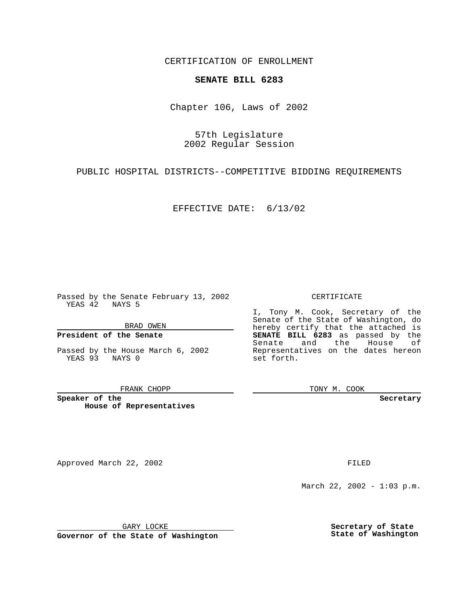CERTIFICATION OF ENROLLMENT

# **SENATE BILL 6283**

Chapter 106, Laws of 2002

57th Legislature 2002 Regular Session

PUBLIC HOSPITAL DISTRICTS--COMPETITIVE BIDDING REQUIREMENTS

EFFECTIVE DATE: 6/13/02

Passed by the Senate February 13, 2002 YEAS 42 NAYS 5

BRAD OWEN

### **President of the Senate**

Passed by the House March 6, 2002 YEAS 93 NAYS 0

#### FRANK CHOPP

**Speaker of the House of Representatives**

Approved March 22, 2002 **FILED** 

### CERTIFICATE

I, Tony M. Cook, Secretary of the Senate of the State of Washington, do hereby certify that the attached is **SENATE BILL 6283** as passed by the Senate and the House of Representatives on the dates hereon set forth.

TONY M. COOK

**Secretary**

March 22, 2002 - 1:03 p.m.

GARY LOCKE

**Governor of the State of Washington**

**Secretary of State State of Washington**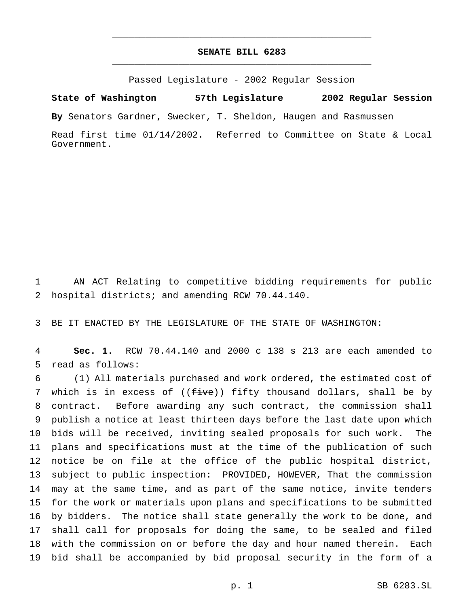## **SENATE BILL 6283** \_\_\_\_\_\_\_\_\_\_\_\_\_\_\_\_\_\_\_\_\_\_\_\_\_\_\_\_\_\_\_\_\_\_\_\_\_\_\_\_\_\_\_\_\_\_\_

\_\_\_\_\_\_\_\_\_\_\_\_\_\_\_\_\_\_\_\_\_\_\_\_\_\_\_\_\_\_\_\_\_\_\_\_\_\_\_\_\_\_\_\_\_\_\_

Passed Legislature - 2002 Regular Session

**State of Washington 57th Legislature 2002 Regular Session**

**By** Senators Gardner, Swecker, T. Sheldon, Haugen and Rasmussen

Read first time 01/14/2002. Referred to Committee on State & Local Government.

 AN ACT Relating to competitive bidding requirements for public hospital districts; and amending RCW 70.44.140.

BE IT ENACTED BY THE LEGISLATURE OF THE STATE OF WASHINGTON:

 **Sec. 1.** RCW 70.44.140 and 2000 c 138 s 213 are each amended to read as follows:

 (1) All materials purchased and work ordered, the estimated cost of 7 which is in excess of ((five)) fifty thousand dollars, shall be by contract. Before awarding any such contract, the commission shall publish a notice at least thirteen days before the last date upon which bids will be received, inviting sealed proposals for such work. The plans and specifications must at the time of the publication of such notice be on file at the office of the public hospital district, subject to public inspection: PROVIDED, HOWEVER, That the commission may at the same time, and as part of the same notice, invite tenders for the work or materials upon plans and specifications to be submitted by bidders. The notice shall state generally the work to be done, and shall call for proposals for doing the same, to be sealed and filed with the commission on or before the day and hour named therein. Each bid shall be accompanied by bid proposal security in the form of a